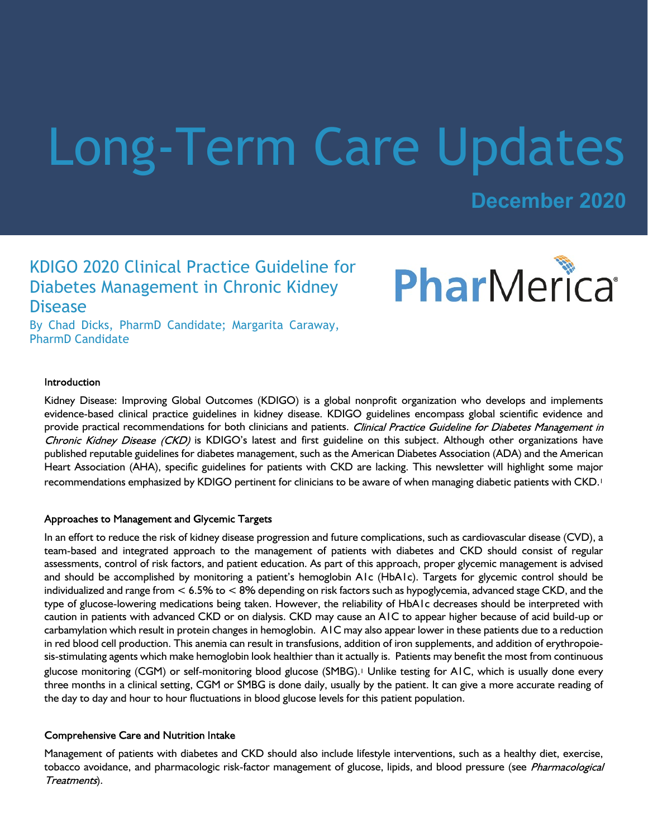# Long-Term Care Updates

**December 2020**

PharMerica

# KDIGO 2020 Clinical Practice Guideline for Diabetes Management in Chronic Kidney Disease

By Chad Dicks, PharmD Candidate; Margarita Caraway, PharmD Candidate

#### Introduction

Kidney Disease: Improving Global Outcomes (KDIGO) is a global nonprofit organization who develops and implements evidence-based clinical practice guidelines in kidney disease. KDIGO guidelines encompass global scientific evidence and provide practical recommendations for both clinicians and patients. Clinical Practice Guideline for Diabetes Management in Chronic Kidney Disease (CKD) is KDIGO's latest and first guideline on this subject. Although other organizations have published reputable guidelines for diabetes management, such as the American Diabetes Association (ADA) and the American Heart Association (AHA), specific guidelines for patients with CKD are lacking. This newsletter will highlight some major recommendations emphasized by KDIGO pertinent for clinicians to be aware of when managing diabetic patients with CKD.<sup>1</sup>

#### Approaches to Management and Glycemic Targets

In an effort to reduce the risk of kidney disease progression and future complications, such as cardiovascular disease (CVD), a team-based and integrated approach to the management of patients with diabetes and CKD should consist of regular assessments, control of risk factors, and patient education. As part of this approach, proper glycemic management is advised and should be accomplished by monitoring a patient's hemoglobin A1c (HbA1c). Targets for glycemic control should be individualized and range from < 6.5% to < 8% depending on risk factors such as hypoglycemia, advanced stage CKD, and the type of glucose-lowering medications being taken. However, the reliability of HbA1c decreases should be interpreted with caution in patients with advanced CKD or on dialysis. CKD may cause an A1C to appear higher because of acid build-up or carbamylation which result in protein changes in hemoglobin. A1C may also appear lower in these patients due to a reduction in red blood cell production. This anemia can result in transfusions, addition of iron supplements, and addition of erythropoiesis-stimulating agents which make hemoglobin look healthier than it actually is. Patients may benefit the most from continuous glucose monitoring (CGM) or self-monitoring blood glucose (SMBG).1 Unlike testing for A1C, which is usually done every three months in a clinical setting, CGM or SMBG is done daily, usually by the patient. It can give a more accurate reading of the day to day and hour to hour fluctuations in blood glucose levels for this patient population.

# **Comprehensive Care and Nutrition Intake**

Management of patients with diabetes and CKD should also include lifestyle interventions, such as a healthy diet, exercise, tobacco avoidance, and pharmacologic risk-factor management of glucose, lipids, and blood pressure (see Pharmacological Treatments).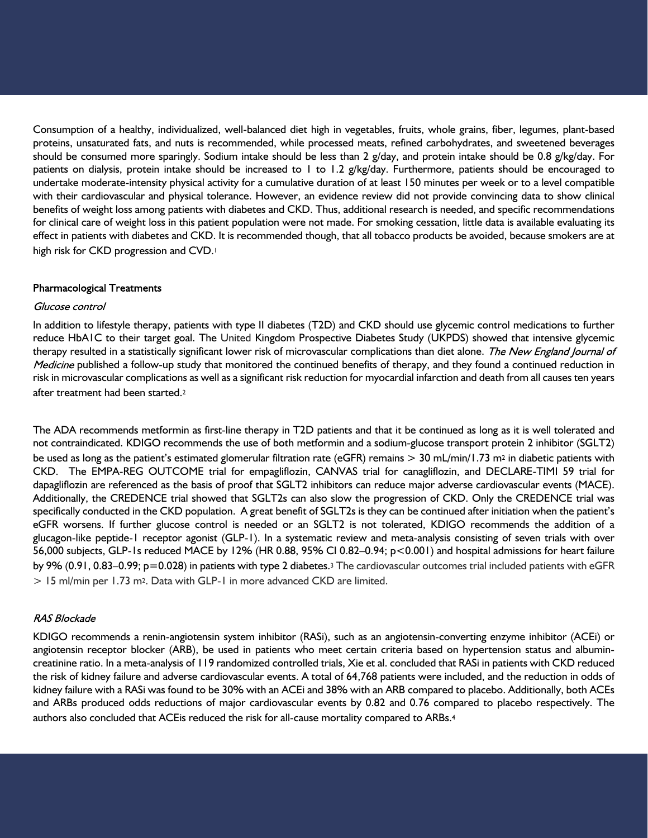Consumption of a healthy, individualized, well-balanced diet high in vegetables, fruits, whole grains, fiber, legumes, plant-based proteins, unsaturated fats, and nuts is recommended, while processed meats, refined carbohydrates, and sweetened beverages should be consumed more sparingly. Sodium intake should be less than 2 g/day, and protein intake should be 0.8 g/kg/day. For patients on dialysis, protein intake should be increased to 1 to 1.2 g/kg/day. Furthermore, patients should be encouraged to undertake moderate-intensity physical activity for a cumulative duration of at least 150 minutes per week or to a level compatible with their cardiovascular and physical tolerance. However, an evidence review did not provide convincing data to show clinical benefits of weight loss among patients with diabetes and CKD. Thus, additional research is needed, and specific recommendations for clinical care of weight loss in this patient population were not made. For smoking cessation, little data is available evaluating its effect in patients with diabetes and CKD. It is recommended though, that all tobacco products be avoided, because smokers are at high risk for CKD progression and CVD.<sup>1</sup>

## **Pharmacological Treatments**

#### Glucose control

In addition to lifestyle therapy, patients with type II diabetes (T2D) and CKD should use glycemic control medications to further reduce HbA1C to their target goal. The United Kingdom Prospective Diabetes Study (UKPDS) showed that intensive glycemic therapy resulted in a statistically significant lower risk of microvascular complications than diet alone. The New England Journal of Medicine published a follow-up study that monitored the continued benefits of therapy, and they found a continued reduction in risk in microvascular complications as well as a significant risk reduction for myocardial infarction and death from all causes ten years after treatment had been started.<sup>2</sup>

The ADA recommends metformin as first-line therapy in T2D patients and that it be continued as long as it is well tolerated and not contraindicated. KDIGO recommends the use of both metformin and a sodium-glucose transport protein 2 inhibitor (SGLT2) be used as long as the patient's estimated glomerular filtration rate (eGFR) remains  $> 30$  mL/min/1.73 m<sup>2</sup> in diabetic patients with CKD. The EMPA-REG OUTCOME trial for empagliflozin, CANVAS trial for canagliflozin, and DECLARE-TIMI 59 trial for dapagliflozin are referenced as the basis of proof that SGLT2 inhibitors can reduce major adverse cardiovascular events (MACE). Additionally, the CREDENCE trial showed that SGLT2s can also slow the progression of CKD. Only the CREDENCE trial was specifically conducted in the CKD population. A great benefit of SGLT2s is they can be continued after initiation when the patient's eGFR worsens. If further glucose control is needed or an SGLT2 is not tolerated, KDIGO recommends the addition of a glucagon-like peptide-1 receptor agonist (GLP-1). In a systematic review and meta-analysis consisting of seven trials with over 56,000 subjects, GLP-1s reduced MACE by 12% (HR 0.88, 95% CI 0.82–0.94; p<0.001) and hospital admissions for heart failure by 9% (0.91, 0.83–0.99; p=0.028) in patients with type 2 diabetes.3 The cardiovascular outcomes trial included patients with eGFR > 15 ml/min per 1.73 m2. Data with GLP-1 in more advanced CKD are limited.

## **RAS Blockade**

KDIGO recommends a renin-angiotensin system inhibitor (RASi), such as an angiotensin-converting enzyme inhibitor (ACEi) or angiotensin receptor blocker (ARB), be used in patients who meet certain criteria based on hypertension status and albumincreatinine ratio. In a meta-analysis of 119 randomized controlled trials, Xie et al. concluded that RASi in patients with CKD reduced the risk of kidney failure and adverse cardiovascular events. A total of 64,768 patients were included, and the reduction in odds of kidney failure with a RASi was found to be 30% with an ACEi and 38% with an ARB compared to placebo. Additionally, both ACEs and ARBs produced odds reductions of major cardiovascular events by 0.82 and 0.76 compared to placebo respectively. The authors also concluded that ACEis reduced the risk for all-cause mortality compared to ARBs.4